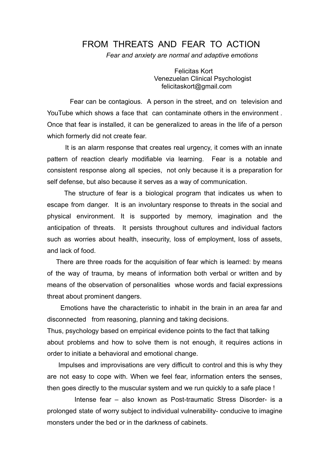## FROM THREATS AND FEAR TO ACTION

*Fear and anxiety are normal and adaptive emotions*

Felicitas Kort Venezuelan Clinical Psychologist felicitaskort@gmail.com

Fear can be contagious. A person in the street, and on television and YouTube which shows a face that can contaminate others in the environment . Once that fear is installed, it can be generalized to areas in the life of a person which formerly did not create fear.

It is an alarm response that creates real urgency, it comes with an innate pattern of reaction clearly modifiable via learning. Fear is a notable and consistent response along all species, not only because it is a preparation for self defense, but also because it serves as a way of communication.

The structure of fear is a biological program that indicates us when to escape from danger. It is an involuntary response to threats in the social and physical environment. It is supported by memory, imagination and the anticipation of threats. It persists throughout cultures and individual factors such as worries about health, insecurity, loss of employment, loss of assets, and lack of food.

There are three roads for the acquisition of fear which is learned: by means of the way of trauma, by means of information both verbal or written and by means of the observation of personalities whose words and facial expressions threat about prominent dangers.

Emotions have the characteristic to inhabit in the brain in an area far and disconnected from reasoning, planning and taking decisions.

Thus, psychology based on empirical evidence points to the fact that talking about problems and how to solve them is not enough, it requires actions in order to initiate a behavioral and emotional change.

Impulses and improvisations are very difficult to control and this is why they are not easy to cope with. When we feel fear, information enters the senses, then goes directly to the muscular system and we run quickly to a safe place !

Intense fear – also known as Post-traumatic Stress Disorder- is a prolonged state of worry subject to individual vulnerability- conducive to imagine monsters under the bed or in the darkness of cabinets.